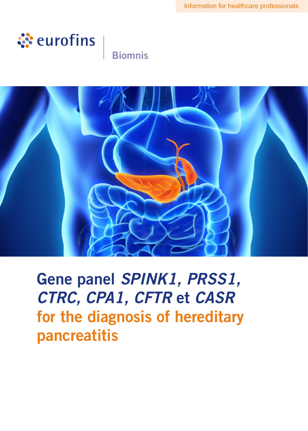

# **Biomnis**



Gene panel *SPINK1, PRSS1, CTRC, CPA1, CFTR* et *CASR* for the diagnosis of hereditary pancreatitis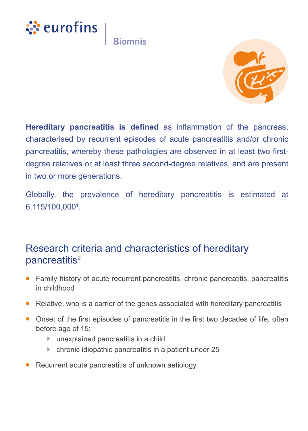



**Hereditary pancreatitis is defined** as inflammation of the pancreas, characterised by recurrent episodes of acute pancreatitis and/or chronic pancreatitis, whereby these pathologies are observed in at least two firstdegree relatives or at least three second-degree relatives, and are present in two or more generations.

Globally, the prevalence of hereditary pancreatitis is estimated at  $6.115/100,0001$ .

### Research criteria and characteristics of hereditary pancreatitis<sup>2</sup>

- Family history of acute recurrent pancreatitis, chronic pancreatitis, pancreatitis in childhood
- **•** Relative, who is a carrier of the genes associated with hereditary pancreatitis
- Onset of the first episodes of pancreatitis in the first two decades of life, often before age of 15:
	- $\blacktriangleright$  unexplained pancreatitis in a child
	- $\blacktriangleright$  chronic idiopathic pancreatitis in a patient under 25
- **•** Recurrent acute pancreatitis of unknown aetiology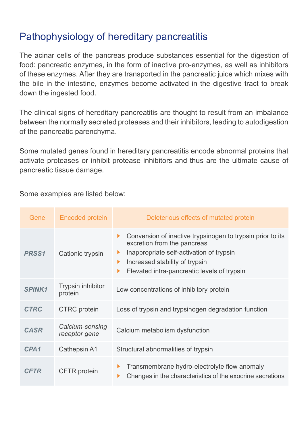# Pathophysiology of hereditary pancreatitis

The acinar cells of the pancreas produce substances essential for the digestion of food: pancreatic enzymes, in the form of inactive pro-enzymes, as well as inhibitors of these enzymes. After they are transported in the pancreatic juice which mixes with the bile in the intestine, enzymes become activated in the digestive tract to break down the ingested food.

The clinical signs of hereditary pancreatitis are thought to result from an imbalance between the normally secreted proteases and their inhibitors, leading to autodigestion of the pancreatic parenchyma.

Some mutated genes found in hereditary pancreatitis encode abnormal proteins that activate proteases or inhibit protease inhibitors and thus are the ultimate cause of pancreatic tissue damage.

Some examples are listed below:

| Gene              | Encoded protein                  | Deleterious effects of mutated protein                                                                                                                                                                                                      |
|-------------------|----------------------------------|---------------------------------------------------------------------------------------------------------------------------------------------------------------------------------------------------------------------------------------------|
| PRSS <sub>1</sub> | Cationic trypsin                 | Conversion of inactive trypsinogen to trypsin prior to its<br>Þ.<br>excretion from the pancreas<br>Inappropriate self-activation of trypsin<br>▶<br>Increased stability of trypsin<br>▶<br>Elevated intra-pancreatic levels of trypsin<br>▶ |
| <b>SPINK1</b>     | Trypsin inhibitor<br>protein     | Low concentrations of inhibitory protein                                                                                                                                                                                                    |
| <b>CTRC</b>       | <b>CTRC</b> protein              | Loss of trypsin and trypsinogen degradation function                                                                                                                                                                                        |
| <b>CASR</b>       | Calcium-sensing<br>receptor gene | Calcium metabolism dysfunction                                                                                                                                                                                                              |
| CPA <sub>1</sub>  | Cathepsin A1                     | Structural abnormalities of trypsin                                                                                                                                                                                                         |
| <b>CFTR</b>       | CFTR protein                     | Transmembrane hydro-electrolyte flow anomaly<br>▶<br>Changes in the characteristics of the exocrine secretions                                                                                                                              |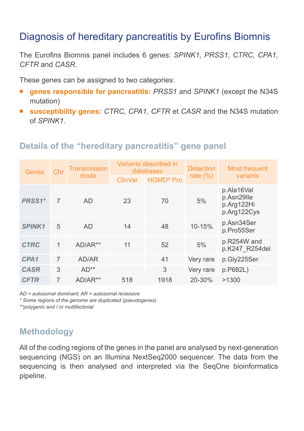## Diagnosis of hereditary pancreatitis by Eurofins Biomnis

The Eurofins Biomnis panel includes 6 genes: *SPINK1, PRSS1, CTRC, CPA1, CFTR* and *CASR*.

These genes can be assigned to two categories:

- **• genes responsible for pancreatitis:** *PRSS1* and *SPINK1* (except the N34S mutation)
- **• susceptibility genes:** *CTRC, CPA1, CFTR* et *CASR* and the N34S mutation of *SPINK1*.

### **Details of the "hereditary pancreatitis" gene panel**

| Genes            | Chr | Transmission<br>mode | Variants described in<br>databases |                             | <b>Detection</b> | Most frequent                                         |
|------------------|-----|----------------------|------------------------------------|-----------------------------|------------------|-------------------------------------------------------|
|                  |     |                      | <b>ClinVar</b>                     | <b>HGMD<sup>®</sup></b> Pro | rate $(\%)$      | variants                                              |
| PRSS1*           | 7   | <b>AD</b>            | 23                                 | 70                          | 5%               | p.Ala16Val<br>p.Asn29lle<br>p.Arg122Hi<br>p.Arg122Cys |
| <b>SPINK1</b>    | 5   | <b>AD</b>            | 14                                 | 48                          | 10-15%           | p.Asn34Ser<br>p.Pro55Ser                              |
| <b>CTRC</b>      | 1   | AD/AR**              | 11                                 | 52                          | 5%               | p.R254W and<br>p.K247_R254del                         |
| CPA <sub>1</sub> | 7   | AD/AR                |                                    | 41                          | Very rare        | p.Gly225Ser                                           |
| <b>CASR</b>      | 3   | $AD**$               |                                    | 3                           | Very rare        | p.P682L)                                              |
| <b>CFTR</b>      | 7   | AD/AR**              | 518                                | 1918                        | 20-30%           | >1300                                                 |

*AD = autosomal dominant; AR = autosomal recessive*

*\* Some regions of the genome are duplicated (pseudogenes)*

*\*\*polygenic and / or multifactorial*

### **Methodology**

All of the coding regions of the genes in the panel are analysed by next-generation sequencing (NGS) on an Illumina NextSeq2000 sequencer. The data from the sequencing is then analysed and interpreted via the SeqOne bioinformatics pipeline.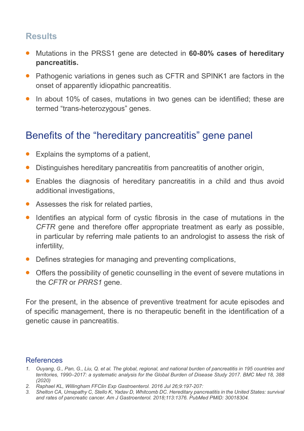### **Results**

- **•** Mutations in the PRSS1 gene are detected in **60-80% cases of hereditary pancreatitis.**
- **•** Pathogenic variations in genes such as CFTR and SPINK1 are factors in the onset of apparently idiopathic pancreatitis.
- **•** In about 10% of cases, mutations in two genes can be identified; these are termed "trans-heterozygous" genes.

### Benefits of the "hereditary pancreatitis" gene panel

- **•** Explains the symptoms of a patient,
- **•** Distinguishes hereditary pancreatitis from pancreatitis of another origin,
- **•** Enables the diagnosis of hereditary pancreatitis in a child and thus avoid additional investigations,
- **•** Assesses the risk for related parties,
- **•** Identifies an atypical form of cystic fibrosis in the case of mutations in the *CFTR* gene and therefore offer appropriate treatment as early as possible, in particular by referring male patients to an andrologist to assess the risk of infertility,
- **•** Defines strategies for managing and preventing complications,
- **•** Offers the possibility of genetic counselling in the event of severe mutations in the *CFTR* or *PRRS1* gene.

For the present, in the absence of preventive treatment for acute episodes and of specific management, there is no therapeutic benefit in the identification of a genetic cause in pancreatitis.

#### References

- *1. Ouyang, G., Pan, G., Liu, Q. et al. The global, regional, and national burden of pancreatitis in 195 countries and territories, 1990–2017: a systematic analysis for the Global Burden of Disease Study 2017. BMC Med 18, 388 (2020)*
- *2. Raphael KL, Willingham FFClin Exp Gastroenterol. 2016 Jul 26;9:197-207:*
- *3. Shelton CA, Umapathy C, Stello K, Yadav D, Whitcomb DC. Hereditary pancreatitis in the United States: survival and rates of pancreatic cancer. Am J Gastroenterol. 2018;113:1376. PubMed PMID: 30018304.*